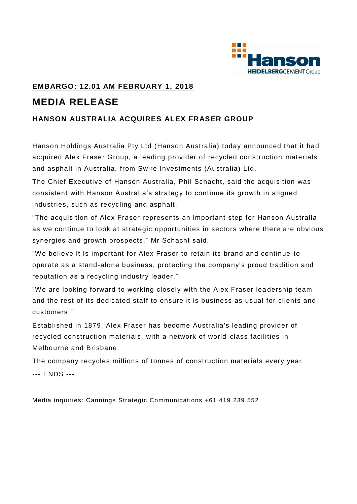

## **EMBARGO: 12.01 AM FEBRUARY 1, 2018 MEDIA RELEASE**

## **HANSON AUSTRALIA ACQUIRES ALEX FRASER GROUP**

Hanson Holdings Australia Pty Ltd (Hanson Australia) today announced that it had acquired Alex Fraser Group, a leading provider of recycled construction materials and asphalt in Australia, from Swire Investments (Australia) Ltd.

The Chief Executive of Hanson Australia, Phil Schacht, said the acquisition was consistent with Hanson Australia's strategy to continue its growth in aligned industries, such as recycling and asphalt.

"The acquisition of Alex Fraser represents an important step for Hanson Australia, as we continue to look at strategic opportunities in sectors where there are obvious synergies and growth prospects," Mr Schacht said.

"We believe it is important for Alex Fraser to retain its brand and continue to operate as a stand-alone business, protecting the company's proud tradition and reputation as a recycling industry leader."

"We are looking forward to working closely with the Alex Fraser lea dership team and the rest of its dedicated staff to ensure it is business as usual for clients and customers."

Established in 1879, Alex Fraser has become Australia's leading provider of recycled construction materials, with a network of world -class facilities in Melbourne and Brisbane.

The company recycles millions of tonnes of construction materials every year. --- ENDS ---

Media inquiries: Cannings Strategic Communications +61 419 239 552